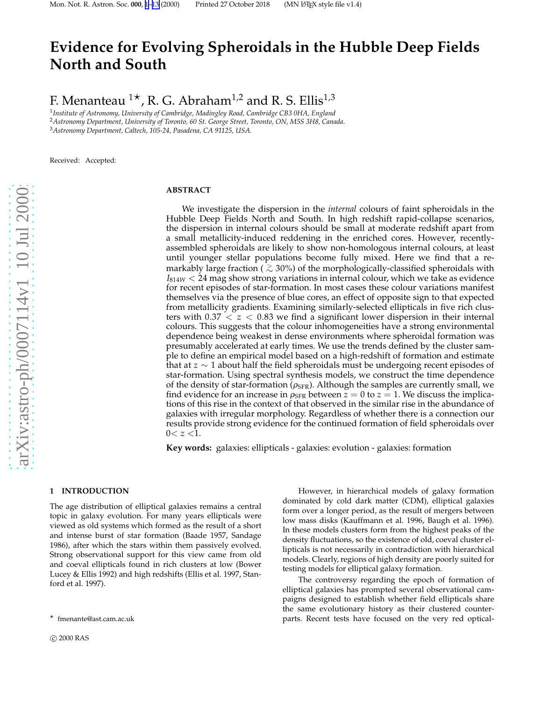# <span id="page-0-0"></span>**Evidence for Evolving Spheroidals in the Hubble Deep Fields North and South**

F. Menanteau  $1^{\star}$ , R. G. Abraham<sup>1,2</sup> and R. S. Ellis<sup>1,3</sup>

1 *Institute of Astronomy, University of Cambridge, Madingley Road, Cambridge CB3 0HA, England* <sup>2</sup>*Astronomy Department, University of Toronto, 60 St. George Street, Toronto, ON, M5S 3H8, Canada.* <sup>3</sup>*Astronomy Department, Caltech, 105-24, Pasadena, CA 91125, USA.*

Received: Accepted:

# **ABSTRACT**

We investigate the dispersion in the *internal* colours of faint spheroidals in the Hubble Deep Fields North and South. In high redshift rapid-collapse scenarios, the dispersion in internal colours should be small at moderate redshift apart from a small metallicity-induced reddening in the enriched cores. However, recentlyassembled spheroidals are likely to show non-homologous internal colours, at least until younger stellar populations become fully mixed. Here we find that a remarkably large fraction ( <sup>&</sup>gt;<sup>∼</sup> 30%) of the morphologically-classified spheroidals with *<sup>I</sup>*814*<sup>W</sup>* <sup>&</sup>lt; 24 mag show strong variations in internal colour, which we take as evidence for recent episodes of star-formation. In most cases these colour variations manifest themselves via the presence of blue cores, an effect of opposite sign to that expected from metallicity gradients. Examining similarly-selected ellipticals in five rich clusters with  $0.37 < z < 0.83$  we find a significant lower dispersion in their internal colours. This suggests that the colour inhomogeneities have a strong environmental dependence being weakest in dense environments where spheroidal formation was presumably accelerated at early times. We use the trends defined by the cluster sample to define an empirical model based on a high-redshift of formation and estimate that at *z* ∼ 1 about half the field spheroidals must be undergoing recent episodes of star-formation. Using spectral synthesis models, we construct the time dependence of the density of star-formation ( $\rho_{\rm SFR}$ ). Although the samples are currently small, we find evidence for an increase in  $\rho_{\rm SFR}$  between  $z=0$  to  $z=1$ . We discuss the implications of this rise in the context of that observed in the similar rise in the abundance of galaxies with irregular morphology. Regardless of whether there is a connection our results provide strong evidence for the continued formation of field spheroidals over  $0 < z < 1$ .

**Key words:** galaxies: ellipticals - galaxies: evolution - galaxies: formation

# **1 INTRODUCTION**

The age distribution of elliptical galaxies remains a central topic in galaxy evolution. For many years ellipticals were viewed as old systems which formed as the result of a short and intense burst of star formation (Baade 1957, Sandage 1986), after which the stars within them passively evolved. Strong observational support for this view came from old and coeval ellipticals found in rich clusters at low (Bower Lucey & Ellis 1992) and high redshifts (Ellis et al. 1997, Stanford et al. 1997).

However, in hierarchical models of galaxy formation dominated by cold dark matter (CDM), elliptical galaxies form over a longer period, as the result of mergers between low mass disks (Kauffmann et al. 1996, Baugh et al. 1996). In these models clusters form from the highest peaks of the density fluctuations, so the existence of old, coeval cluster ellipticals is not necessarily in contradiction with hierarchical models. Clearly, regions of high density are poorly suited for testing models for elliptical galaxy formation.

The controversy regarding the epoch of formation of elliptical galaxies has prompted several observational campaigns designed to establish whether field ellipticals share the same evolutionary history as their clustered counterparts. Recent tests have focused on the very red optical-

 $\star$  fmenante@ast.cam.ac.uk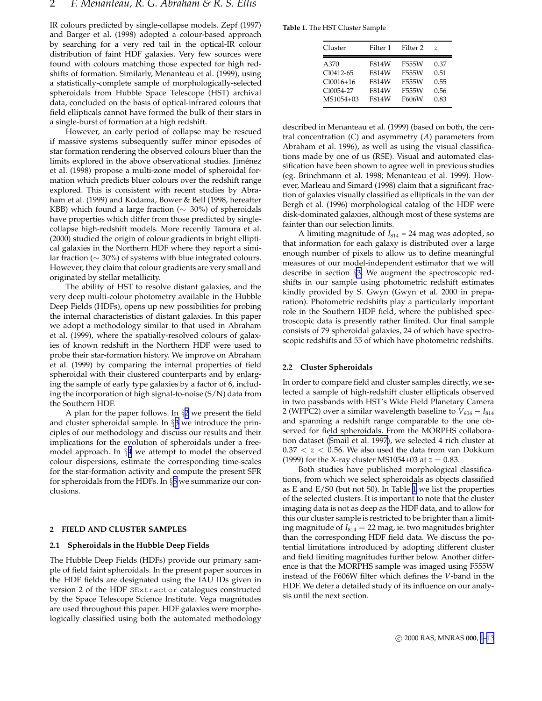IR colours predicted by single-collapse models. Zepf (1997) and Barger et al. (1998) adopted a colour-based approach by searching for a very red tail in the optical-IR colour distribution of faint HDF galaxies. Very few sources were found with colours matching those expected for high redshifts of formation. Similarly, Menanteau et al. (1999), using a statistically-complete sample of morphologically-selected spheroidals from Hubble Space Telescope (HST) archival data, concluded on the basis of optical-infrared colours that field ellipticals cannot have formed the bulk of their stars in a single-burst of formation at a high redshift.

However, an early period of collapse may be rescued if massive systems subsequently suffer minor episodes of star formation rendering the observed colours bluer than the limits explored in the above observational studies. Jiménez et al. (1998) propose a multi-zone model of spheroidal formation which predicts bluer colours over the redshift range explored. This is consistent with recent studies by Abraham et al. (1999) and Kodama, Bower & Bell (1998, hereafter KBB) which found a large fraction ( $\sim$  30%) of spheroidals have properties which differ from those predicted by singlecollapse high-redshift models. More recently Tamura et al. (2000) studied the origin of colour gradients in bright elliptical galaxies in the Northern HDF where they report a similar fraction (∼ 30%) of systems with blue integrated colours. However, they claim that colour gradients are very small and originated by stellar metallicity.

The ability of HST to resolve distant galaxies, and the very deep multi-colour photometry available in the Hubble Deep Fields (HDFs), opens up new possibilities for probing the internal characteristics of distant galaxies. In this paper we adopt a methodology similar to that used in Abraham et al. (1999), where the spatially-resolved colours of galaxies of known redshift in the Northern HDF were used to probe their star-formation history. We improve on Abraham et al. (1999) by comparing the internal properties of field spheroidal with their clustered counterparts and by enlarging the sample of early type galaxies by a factor of 6, including the incorporation of high signal-to-noise (S/N) data from the Southern HDF.

A plan for the paper follows. In  $\S 2$  we present the field and cluster spheroidal sample. In §3 we introduce the principles of our methodology and discuss our results and their implications for the evolution of spheroidals under a freemodel approach. In §[4](#page-7-0) we attempt to model the observed colour dispersions, estimate the corresponding time-scales for the star-formation activity and compute the present SFR for spheroidals from the HDFs. In §[5](#page-11-0) we summarize our conclusions.

#### **2 FIELD AND CLUSTER SAMPLES**

## **2.1 Spheroidals in the Hubble Deep Fields**

The Hubble Deep Fields (HDFs) provide our primary sample of field faint spheroidals. In the present paper sources in the HDF fields are designated using the IAU IDs given in version 2 of the HDF SExtractor catalogues constructed by the Space Telescope Science Institute. Vega magnitudes are used throughout this paper. HDF galaxies were morphologically classified using both the automated methodology

**Table 1.** The HST Cluster Sample

| Cluster     | Filter 1 | Filter <sub>2</sub> | Z    |
|-------------|----------|---------------------|------|
| A370        | F814W    | F555W               | 0.37 |
| Cl0412-65   | F814W    | F555W               | 0.51 |
| $Cl0016+16$ | F814W    | F555W               | 0.55 |
| C10054-27   | F814W    | F555W               | 0.56 |
| MS1054+03   | F814W    | F606W               | 0.83 |

described in Menanteau et al. (1999) (based on both, the central concentration (*C*) and asymmetry (*A*) parameters from Abraham et al. 1996), as well as using the visual classifications made by one of us (RSE). Visual and automated classification have been shown to agree well in previous studies (eg. Brinchmann et al. 1998; Menanteau et al. 1999). However, Marleau and Simard (1998) claim that a significant fraction of galaxies visually classified as ellipticals in the van der Bergh et al. (1996) morphological catalog of the HDF were disk-dominated galaxies, although most of these systems are fainter than our selection limits.

A limiting magnitude of  $I_{814} = 24$  mag was adopted, so that information for each galaxy is distributed over a large enough number of pixels to allow us to define meaningful measures of our model-independent estimator that we will describe in section §3. We augment the spectroscopic redshifts in our sample using photometric redshift estimates kindly provided by S. Gwyn (Gwyn et al. 2000 in preparation). Photometric redshifts play a particularly important role in the Southern HDF field, where the published spectroscopic data is presently rather limited. Our final sample consists of 79 spheroidal galaxies, 24 of which have spectroscopic redshifts and 55 of which have photometric redshifts.

#### **2.2 Cluster Spheroidals**

In order to compare field and cluster samples directly, we selected a sample of high-redshift cluster ellipticals observed in two passbands with HST's Wide Field Planetary Camera 2 (WFPC2) over a similar wavelength baseline to  $V_{606} - I_{814}$ and spanning a redshift range comparable to the one observed for field spheroidals. From the MORPHS collaboration dataset [\(Smail et al. 1997\)](#page-11-0), we selected 4 rich cluster at  $0.37 < z < 0.56$ . We also used the data from van Dokkum (1999) for the X-ray cluster MS1054+03 at  $z = 0.83$ .

Both studies have published morphological classifications, from which we select spheroidals as objects classified as E and E/S0 (but not S0). In Table 1 we list the properties of the selected clusters. It is important to note that the cluster imaging data is not as deep as the HDF data, and to allow for this our cluster sample is restricted to be brighter than a limiting magnitude of  $I_{814} = 22$  mag, ie. two magnitudes brighter than the corresponding HDF field data. We discuss the potential limitations introduced by adopting different cluster and field limiting magnitudes further below. Another difference is that the MORPHS sample was imaged using F555W instead of the F606W filter which defines the *V*-band in the HDF. We defer a detailed study of its influence on our analysis until the next section.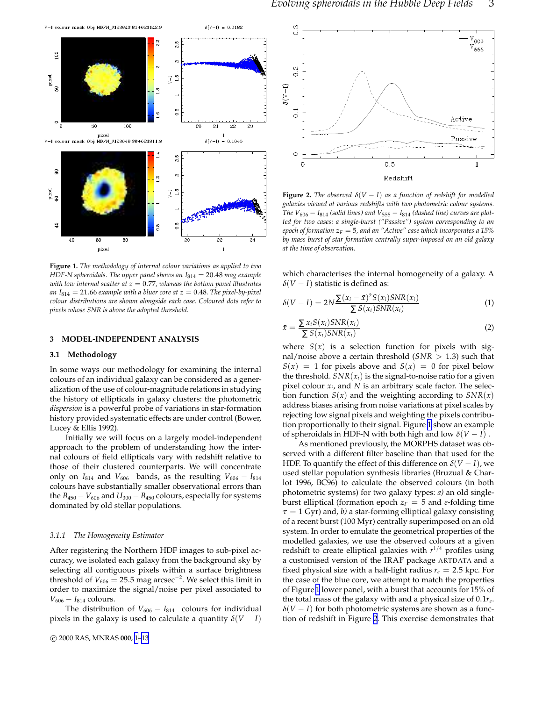<span id="page-2-0"></span>

**Figure 1.** *The methodology of internal colour variations as applied to two HDF-N spheroidals. The upper panel shows an I*<sup>814</sup> = 20.48 *mag example with low internal scatter at z* = 0.77*, whereas the bottom panel illustrates* an  $I_{814} = 21.66$  *example with a bluer core at*  $z = 0.48$ *. The pixel-by-pixel colour distributions are shown alongside each case. Coloured dots refer to pixels whose SNR is above the adopted threshold.*

## **3 MODEL-INDEPENDENT ANALYSIS**

## **3.1 Methodology**

In some ways our methodology for examining the internal colours of an individual galaxy can be considered as a generalization of the use of colour-magnitude relations in studying the history of ellipticals in galaxy clusters: the photometric *dispersion* is a powerful probe of variations in star-formation history provided systematic effects are under control (Bower, Lucey & Ellis 1992).

Initially we will focus on a largely model-independent approach to the problem of understanding how the internal colours of field ellipticals vary with redshift relative to those of their clustered counterparts. We will concentrate only on  $I_{814}$  and  $V_{606}$  bands, as the resulting  $V_{606} - I_{814}$ colours have substantially smaller observational errors than the  $B_{450} - V_{606}$  and  $U_{300} - B_{450}$  colours, especially for systems dominated by old stellar populations.

## *3.1.1 The Homogeneity Estimator*

After registering the Northern HDF images to sub-pixel accuracy, we isolated each galaxy from the background sky by selecting all contiguous pixels within a surface brightness threshold of  $V_{606} = 25.5$  mag arcsec<sup>−2</sup>. We select this limit in order to maximize the signal/noise per pixel associated to *V*<sub>606</sub> − *I*<sub>814</sub> colours.

The distribution of  $V_{606} - I_{814}$  colours for individual pixels in the galaxy is used to calculate a quantity  $\delta(V-I)$ 



**Figure 2.** *The observed*  $\delta(V - I)$  *as a function of redshift for modelled galaxies viewed at various redshifts with two photometric colour systems. The*  $V_{606} - I_{814}$  *(solid lines) and*  $V_{555} - I_{814}$  *(dashed line) curves are plotted for two cases: a single-burst ("Passive") system corresponding to an epoch of formation z<sup>F</sup>* = 5*, and an "Active" case which incorporates a 15% by mass burst of star formation centrally super-imposed on an old galaxy at the time of observation.*

which characterises the internal homogeneity of a galaxy. A  $\delta(V-I)$  statistic is defined as:

$$
\delta(V-I) = 2N \frac{\Sigma(x_i - \bar{x})^2 S(x_i) SNR(x_i)}{\Sigma S(x_i) SNR(x_i)}
$$
(1)

$$
\bar{x} = \frac{\sum x_i S(x_i) SNR(x_i)}{\sum S(x_i) SNR(x_i)}
$$
\n(2)

where  $S(x)$  is a selection function for pixels with signal/noise above a certain threshold (*SNR* > 1.3) such that  $S(x) = 1$  for pixels above and  $S(x) = 0$  for pixel below the threshold.  $SNR(x_i)$  is the signal-to-noise ratio for a given pixel colour *x<sup>i</sup>* , and *N* is an arbitrary scale factor. The selection function  $S(x)$  and the weighting according to  $SNR(x)$ address biases arising from noise variations at pixel scales by rejecting low signal pixels and weighting the pixels contribution proportionally to their signal. Figure 1 show an example of spheroidals in HDF-N with both high and low  $\delta(V-I)$ .

As mentioned previously, the MORPHS dataset was observed with a different filter baseline than that used for the HDF. To quantify the effect of this difference on  $\delta(V-I)$ , we used stellar population synthesis libraries (Bruzual & Charlot 1996, BC96) to calculate the observed colours (in both photometric systems) for two galaxy types: *a)* an old singleburst elliptical (formation epoch  $z_F = 5$  and *e*-folding time  $\tau = 1$  Gyr) and, *b*) a star-forming elliptical galaxy consisting of a recent burst (100 Myr) centrally superimposed on an old system. In order to emulate the geometrical properties of the modelled galaxies, we use the observed colours at a given redshift to create elliptical galaxies with *r* <sup>1</sup>/<sup>4</sup> profiles using a customised version of the IRAF package ARTDATA and a fixed physical size with a half-light radius  $r_e = 2.5$  kpc. For the case of the blue core, we attempt to match the properties of Figure 1 lower panel, with a burst that accounts for 15% of the total mass of the galaxy with and a physical size of 0.1*r<sup>e</sup>* .  $\delta(V-I)$  for both photometric systems are shown as a function of redshift in Figure 2. This exercise demonstrates that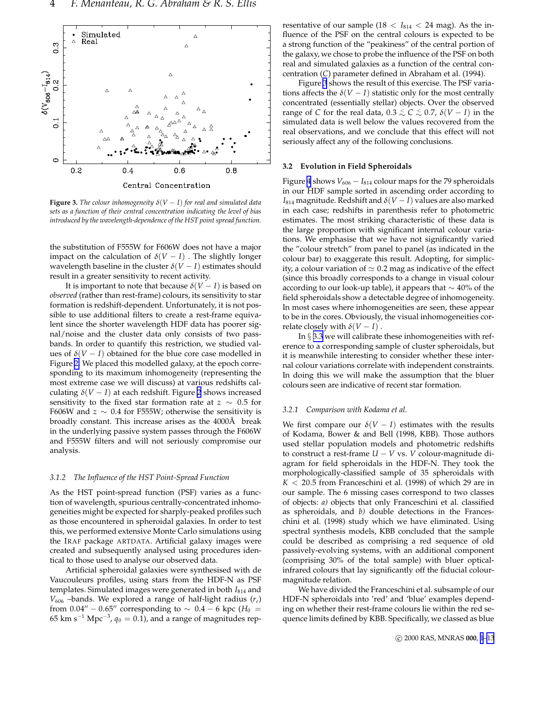

**Figure 3.** *The colour inhomogeneity*  $\delta(V-I)$  *for real and simulated data sets as a function of their central concentration indicating the level of bias introduced by the wavelength-dependence of the HST point spread function.*

the substitution of F555W for F606W does not have a major impact on the calculation of  $\delta(V - I)$ . The slightly longer wavelength baseline in the cluster  $\delta(V-I)$  estimates should result in a greater sensitivity to recent activity.

It is important to note that because  $\delta(V-I)$  is based on *observed* (rather than rest-frame) colours, its sensitivity to star formation is redshift-dependent. Unfortunately, it is not possible to use additional filters to create a rest-frame equivalent since the shorter wavelength HDF data has poorer signal/noise and the cluster data only consists of two passbands. In order to quantify this restriction, we studied values of  $\delta(V - I)$  obtained for the blue core case modelled in Figure [2.](#page-2-0) We placed this modelled galaxy, at the epoch corresponding to its maximum inhomogeneity (representing the most extreme case we will discuss) at various redshifts calculating  $\delta(V - I)$  at each redshift. Figure [2](#page-2-0) shows increased sensitivity to the fixed star formation rate at *z* ∼ 0.5 for F606W and  $z \sim 0.4$  for F555W; otherwise the sensitivity is broadly constant. This increase arises as the 4000Å break in the underlying passive system passes through the F606W and F555W filters and will not seriously compromise our analysis.

# *3.1.2 The Influence of the HST Point-Spread Function*

As the HST point-spread function (PSF) varies as a function of wavelength, spurious centrally-concentrated inhomogeneities might be expected for sharply-peaked profiles such as those encountered in spheroidal galaxies. In order to test this, we performed extensive Monte Carlo simulations using the IRAF package ARTDATA. Artificial galaxy images were created and subsequently analysed using procedures identical to those used to analyse our observed data.

Artificial spheroidal galaxies were synthesised with de Vaucouleurs profiles, using stars from the HDF-N as PSF templates. Simulated images were generated in both  $I_{814}$  and *V*<sup>606</sup> –bands. We explored a range of half-light radius (*re*) from  $0.04'' - 0.65''$  corresponding to  $\sim 0.4 - 6$  kpc ( $H_0 =$  $65~{\rm km~s^{-1}~Mpc^{-3}}$ ,  $q_0=0.1$ ), and a range of magnitudes representative of our sample  $(18 < I_{814} < 24$  mag). As the influence of the PSF on the central colours is expected to be a strong function of the "peakiness" of the central portion of the galaxy, we chose to probe the influence of the PSF on both real and simulated galaxies as a function of the central concentration (*C*) parameter defined in Abraham et al. (1994).

Figure 3 shows the result of this exercise. The PSF variations affects the  $\delta(V-I)$  statistic only for the most centrally concentrated (essentially stellar) objects. Over the observed range of *C* for the real data,  $0.3 \leq C \leq 0.7$ ,  $\delta(V-I)$  in the simulated data is well below the values recovered from the real observations, and we conclude that this effect will not seriously affect any of the following conclusions.

## **3.2 Evolution in Field Spheroidals**

Figure [4](#page-4-0) shows  $V_{606} - I_{814}$  colour maps for the 79 spheroidals in our HDF sample sorted in ascending order according to  $I_{814}$  magnitude. Redshift and  $\delta(V-I)$  values are also marked in each case; redshifts in parenthesis refer to photometric estimates. The most striking characteristic of these data is the large proportion with significant internal colour variations. We emphasise that we have not significantly varied the "colour stretch" from panel to panel (as indicated in the colour bar) to exaggerate this result. Adopting, for simplicity, a colour variation of  $\simeq 0.2$  mag as indicative of the effect (since this broadly corresponds to a change in visual colour according to our look-up table), it appears that ∼ 40% of the field spheroidals show a detectable degree of inhomogeneity. In most cases where inhomogeneities are seen, these appear to be in the cores. Obviously, the visual inhomogeneities correlate closely with  $\delta(V-I)$ .

In § [3.3](#page-6-0) we will calibrate these inhomogeneities with reference to a corresponding sample of cluster spheroidals, but it is meanwhile interesting to consider whether these internal colour variations correlate with independent constraints. In doing this we will make the assumption that the bluer colours seen are indicative of recent star formation.

# *3.2.1 Comparison with Kodama et al.*

We first compare our  $\delta(V-I)$  estimates with the results of Kodama, Bower & and Bell (1998, KBB). Those authors used stellar population models and photometric redshifts to construct a rest-frame  $U - V$  vs. *V* colour-magnitude diagram for field spheroidals in the HDF-N. They took the morphologically-classified sample of 35 spheroidals with  $K < 20.5$  from Franceschini et al. (1998) of which 29 are in our sample. The 6 missing cases correspond to two classes of objects: *a)* objects that only Franceschini et al. classified as spheroidals, and *b)* double detections in the Franceschini et al. (1998) study which we have eliminated. Using spectral synthesis models, KBB concluded that the sample could be described as comprising a red sequence of old passively-evolving systems, with an additional component (comprising 30% of the total sample) with bluer opticalinfrared colours that lay significantly off the fiducial colourmagnitude relation.

We have divided the Franceschini et al. subsample of our HDF-N spheroidals into 'red' and 'blue' examples depending on whether their rest-frame colours lie within the red sequence limits defined by KBB. Specifically, we classed as blue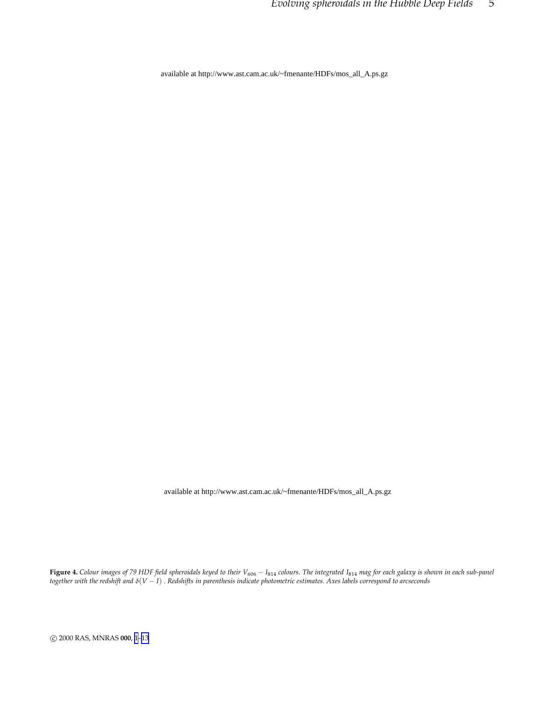<span id="page-4-0"></span>available at http://www.ast.cam.ac.uk/~fmenante/HDFs/mos\_all\_A.ps.gz

available at http://www.ast.cam.ac.uk/~fmenante/HDFs/mos\_all\_A.ps.gz

**Figure 4.** *Colour images of 79 HDF field spheroidals keyed to their V*<sup>606</sup> − *I*<sup>814</sup> *colours. The integrated I*<sup>814</sup> *mag for each galaxy is shown in each sub-panel together with the redshift and* <sup>δ</sup>(*V* − *I*) *. Redshifts in parenthesis indicate photometric estimates. Axes labels correspond to arcseconds*

c 2000 RAS, MNRAS **000**, [1](#page-0-0)[–13](#page-12-0)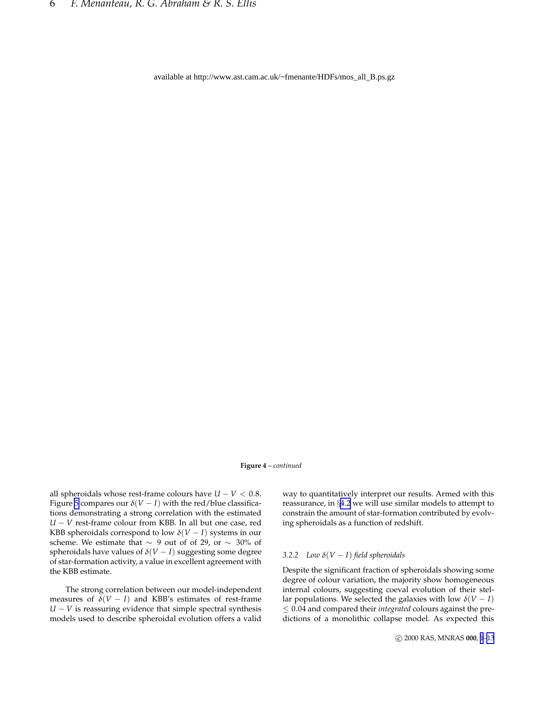available at http://www.ast.cam.ac.uk/~fmenante/HDFs/mos\_all\_B.ps.gz

**Figure 4** – *continued*

all spheroidals whose rest-frame colours have  $U - V < 0.8$ . Figure [5](#page-6-0) compares our  $\delta(V - I)$  with the red/blue classifications demonstrating a strong correlation with the estimated *U* − *V* rest-frame colour from KBB. In all but one case, red KBB spheroidals correspond to low  $\delta(V-I)$  systems in our scheme. We estimate that ∼ 9 out of of 29, or ∼ 30% of spheroidals have values of  $\delta(V-I)$  suggesting some degree of star-formation activity, a value in excellent agreement with the KBB estimate.

The strong correlation between our model-independent measures of  $\delta(V-I)$  and KBB's estimates of rest-frame *U* − *V* is reassuring evidence that simple spectral synthesis models used to describe spheroidal evolution offers a valid

way to quantitatively interpret our results. Armed with this reassurance, in §[4.2](#page-8-0) we will use similar models to attempt to constrain the amount of star-formation contributed by evolving spheroidals as a function of redshift.

# *3.2.2 Low* <sup>δ</sup>(*V* − *I*) *field spheroidals*

Despite the significant fraction of spheroidals showing some degree of colour variation, the majority show homogeneous internal colours, suggesting coeval evolution of their stellar populations. We selected the galaxies with low  $\delta(V-I)$ ≤ 0.04 and compared their *integrated* colours against the predictions of a monolithic collapse model. As expected this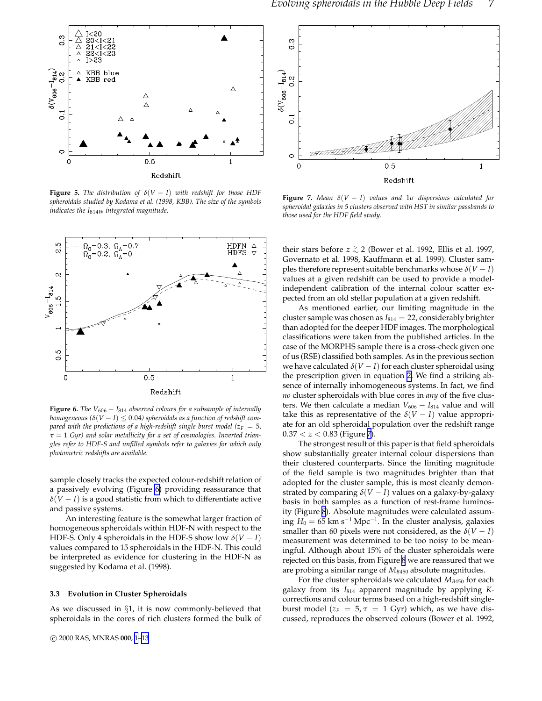<span id="page-6-0"></span>

**Figure 5.** *The distribution of*  $\delta(V - I)$  *with redshift for those HDF spheroidals studied by Kodama et al. (1998, KBB). The size of the symbols indicates the I*814*<sup>W</sup> integrated magnitude.*



**Figure 6.** *The*  $V_{606} - I_{814}$  *observed colours for a subsample of internally homogeneous* ( $\delta(V - I) \leq 0.04$ ) spheroidals as a function of redshift com*pared with the predictions of a high-redshift single burst model* ( $z_F = 5$ *,* <sup>τ</sup> = 1 *Gyr) and solar metallicity for a set of cosmologies. Inverted triangles refer to HDF-S and unfilled symbols refer to galaxies for which only photometric redshifts are available.*

sample closely tracks the expected colour-redshift relation of a passively evolving (Figure 6) providing reassurance that  $\delta(V-I)$  is a good statistic from which to differentiate active and passive systems.

An interesting feature is the somewhat larger fraction of homogeneous spheroidals within HDF-N with respect to the HDF-S. Only 4 spheroidals in the HDF-S show low  $\delta(V - I)$ values compared to 15 spheroidals in the HDF-N. This could be interpreted as evidence for clustering in the HDF-N as suggested by Kodama et al. (1998).

## **3.3 Evolution in Cluster Spheroidals**

As we discussed in §1, it is now commonly-believed that spheroidals in the cores of rich clusters formed the bulk of



**Figure 7.** *Mean*  $\delta(V - I)$  *values and*  $1\sigma$  *dispersions calculated for spheroidal galaxies in 5 clusters observed with HST in similar passbands to those used for the HDF field study.*

their stars before *z*  $\gtrsim$  2 (Bower et al. 1992, Ellis et al. 1997, Governato et al. 1998, Kauffmann et al. 1999). Cluster samples therefore represent suitable benchmarks whose  $\delta(V-I)$ values at a given redshift can be used to provide a modelindependent calibration of the internal colour scatter expected from an old stellar population at a given redshift.

As mentioned earlier, our limiting magnitude in the cluster sample was chosen as *I*<sup>814</sup> = 22, considerably brighter than adopted for the deeper HDF images. The morphological classifications were taken from the published articles. In the case of the MORPHS sample there is a cross-check given one of us (RSE) classified both samples. As in the previous section we have calculated  $\delta(V-I)$  for each cluster spheroidal using the prescription given in equation [2.](#page-2-0) We find a striking absence of internally inhomogeneous systems. In fact, we find *no* cluster spheroidals with blue cores in *any* of the five clusters. We then calculate a median *V*<sub>606</sub> − *I*<sub>814</sub> value and will take this as representative of the  $\delta(V-I)$  value appropriate for an old spheroidal population over the redshift range  $0.37 < z < 0.83$  (Figure 7).

The strongest result of this paper is that field spheroidals show substantially greater internal colour dispersions than their clustered counterparts. Since the limiting magnitude of the field sample is two magnitudes brighter than that adopted for the cluster sample, this is most cleanly demonstrated by comparing  $\delta(V-I)$  values on a galaxy-by-galaxy basis in both samples as a function of rest-frame luminosity (Figure [8](#page-7-0)). Absolute magnitudes were calculated assuming *H*<sup>0</sup> = 65 km s−<sup>1</sup> Mpc−<sup>1</sup> . In the cluster analysis, galaxies smaller than 60 pixels were not considered, as the  $\delta(V - I)$ measurement was determined to be too noisy to be meaningful. Although about 15% of the cluster spheroidals were rejected on this basis, from Figure [8](#page-7-0) we are reassured that we are probing a similar range of *M<sup>B</sup>*<sup>450</sup> absolute magnitudes.

For the cluster spheroidals we calculated  $M_{B450}$  for each galaxy from its *I*<sup>814</sup> apparent magnitude by applying *K*corrections and colour terms based on a high-redshift singleburst model ( $z_F = 5$ ,  $\tau = 1$  Gyr) which, as we have discussed, reproduces the observed colours (Bower et al. 1992,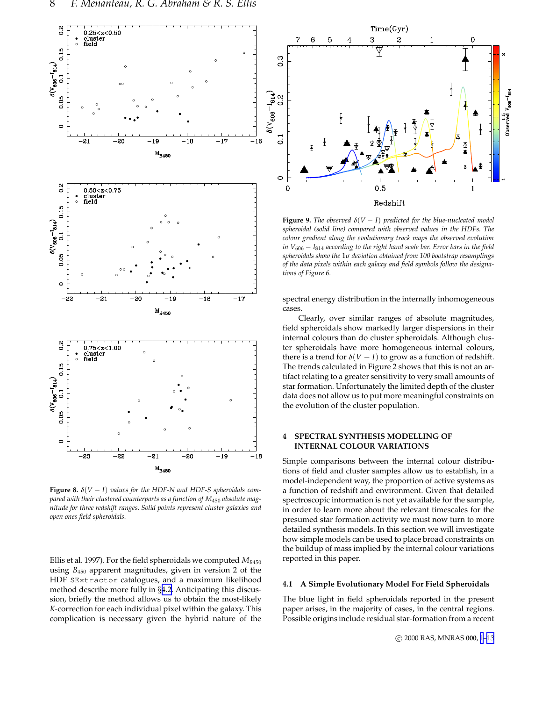<span id="page-7-0"></span>![](_page_7_Figure_1.jpeg)

**Figure 8.**  $\delta(V-I)$  *values for the HDF-N and HDF-S spheroidals compared with their clustered counterparts as a function of M*<sup>450</sup> *absolute magnitude for three redshift ranges. Solid points represent cluster galaxies and open ones field spheroidals.*

Ellis et al. 1997). For the field spheroidals we computed  $M_{B450}$ using *B*<sup>450</sup> apparent magnitudes, given in version 2 of the HDF SExtractor catalogues, and a maximum likelihood method describe more fully in §[4.2.](#page-8-0) Anticipating this discussion, briefly the method allows us to obtain the most-likely *K*-correction for each individual pixel within the galaxy. This complication is necessary given the hybrid nature of the

![](_page_7_Figure_4.jpeg)

**Figure 9.** *The observed*  $\delta(V-I)$  *predicted for the blue-nucleated model spheroidal (solid line) compared with observed values in the HDFs. The colour gradient along the evolutionary track maps the observed evolution in V*<sub>606</sub> − *I*<sub>814</sub> *according to the right hand scale bar. Error bars in the field spheroidals show the* 1<sup>σ</sup> *deviation obtained from 100 bootstrap resamplings of the data pixels within each galaxy and field symbols follow the designations of Figure 6.*

spectral energy distribution in the internally inhomogeneous cases.

Clearly, over similar ranges of absolute magnitudes, field spheroidals show markedly larger dispersions in their internal colours than do cluster spheroidals. Although cluster spheroidals have more homogeneous internal colours, there is a trend for  $\delta(V-I)$  to grow as a function of redshift. The trends calculated in Figure 2 shows that this is not an artifact relating to a greater sensitivity to very small amounts of star formation. Unfortunately the limited depth of the cluster data does not allow us to put more meaningful constraints on the evolution of the cluster population.

# **4 SPECTRAL SYNTHESIS MODELLING OF INTERNAL COLOUR VARIATIONS**

Simple comparisons between the internal colour distributions of field and cluster samples allow us to establish, in a model-independent way, the proportion of active systems as a function of redshift and environment. Given that detailed spectroscopic information is not yet available for the sample, in order to learn more about the relevant timescales for the presumed star formation activity we must now turn to more detailed synthesis models. In this section we will investigate how simple models can be used to place broad constraints on the buildup of mass implied by the internal colour variations reported in this paper.

# **4.1 A Simple Evolutionary Model For Field Spheroidals**

The blue light in field spheroidals reported in the present paper arises, in the majority of cases, in the central regions. Possible origins include residual star-formation from a recent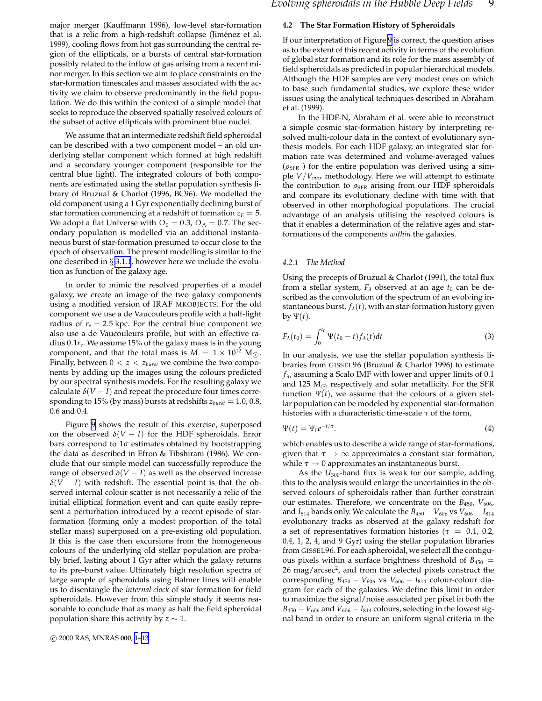<span id="page-8-0"></span>major merger (Kauffmann 1996), low-level star-formation that is a relic from a high-redshift collapse (Jiménez et al. 1999), cooling flows from hot gas surrounding the central region of the ellipticals, or a bursts of central star-formation possibly related to the inflow of gas arising from a recent minor merger. In this section we aim to place constraints on the star-formation timescales and masses associated with the activity we claim to observe predominantly in the field population. We do this within the context of a simple model that seeks to reproduce the observed spatially resolved colours of the subset of active ellipticals with prominent blue nuclei.

We assume that an intermediate redshift field spheroidal can be described with a two component model – an old underlying stellar component which formed at high redshift and a secondary younger component (responsible for the central blue light). The integrated colours of both components are estimated using the stellar population synthesis library of Bruzual & Charlot (1996, BC96). We modelled the old component using a 1 Gyr exponentially declining burst of star formation commencing at a redshift of formation  $z_F = 5$ . We adopt a flat Universe with  $\Omega_0 = 0.3$ ,  $\Omega_\Lambda = 0.7$ . The secondary population is modelled via an additional instantaneous burst of star-formation presumed to occur close to the epoch of observation. The present modelling is similar to the one described in § [3.1.1](#page-2-0), however here we include the evolution as function of the galaxy age.

In order to mimic the resolved properties of a model galaxy, we create an image of the two galaxy components using a modified version of IRAF MKOBJECTS. For the old component we use a de Vaucouleurs profile with a half-light radius of  $r_e = 2.5$  kpc. For the central blue component we also use a de Vaucouleurs profile, but with an effective radius 0.1*r<sup>e</sup>* . We assume 15% of the galaxy mass is in the young component, and that the total mass is  $M = 1 \times 10^{12}$  M<sub>( $\odot$ </sub>). Finally, between  $0 < z < z_{burst}$  we combine the two components by adding up the images using the colours predicted by our spectral synthesis models. For the resulting galaxy we calculate  $\delta(V-I)$  and repeat the procedure four times corresponding to 15% (by mass) bursts at redshifts *zburst* = 1.0, 0.8, 0.6 and 0.4.

Figure [9](#page-7-0) shows the result of this exercise, superposed on the observed  $\delta(V - I)$  for the HDF spheroidals. Error bars correspond to  $1\sigma$  estimates obtained by bootstrapping the data as described in Efron & Tibshirani (1986). We conclude that our simple model can successfully reproduce the range of observed  $\delta(V - I)$  as well as the observed increase  $\delta(V-I)$  with redshift. The essential point is that the observed internal colour scatter is not necessarily a relic of the initial elliptical formation event and can quite easily represent a perturbation introduced by a recent episode of starformation (forming only a modest proportion of the total stellar mass) superposed on a pre-existing old population. If this is the case then excursions from the homogeneous colours of the underlying old stellar population are probably brief, lasting about 1 Gyr after which the galaxy returns to its pre-burst value. Ultimately high resolution spectra of large sample of spheroidals using Balmer lines will enable us to disentangle the *internal clock* of star formation for field spheroidals. However from this simple study it seems reasonable to conclude that as many as half the field spheroidal population share this activity by  $z \sim 1$ .

#### **4.2 The Star Formation History of Spheroidals**

If our interpretation of Figure [9](#page-7-0) is correct, the question arises as to the extent of this recent activity in terms of the evolution of global star formation and its role for the mass assembly of field spheroidals as predicted in popular hierarchical models. Although the HDF samples are very modest ones on which to base such fundamental studies, we explore these wider issues using the analytical techniques described in Abraham et al. (1999).

In the HDF-N, Abraham et al. were able to reconstruct a simple cosmic star-formation history by interpreting resolved multi-colour data in the context of evolutionary synthesis models. For each HDF galaxy, an integrated star formation rate was determined and volume-averaged values  $(\rho_{\rm SFR})$  for the entire population was derived using a simple *V*/*Vmax* methodology. Here we will attempt to estimate the contribution to  $\rho_{\text{SFR}}$  arising from our HDF spheroidals and compare its evolutionary decline with time with that observed in other morphological populations. The crucial advantage of an analysis utilising the resolved colours is that it enables a determination of the relative ages and starformations of the components *within* the galaxies.

#### *4.2.1 The Method*

Using the precepts of Bruzual & Charlot (1991), the total flux from a stellar system,  $F_{\lambda}$  observed at an age  $t_0$  can be described as the convolution of the spectrum of an evolving instantaneous burst,  $f_{\lambda}(t)$ , with an star-formation history given by  $\Psi(t)$ .

$$
F_{\lambda}(t_0) = \int_0^{t_0} \Psi(t_0 - t) f_{\lambda}(t) dt
$$
\n(3)

In our analysis, we use the stellar population synthesis libraries from GISSEL96 (Bruzual & Charlot 1996) to estimate *f*λ, assuming a Scalo IMF with lower and upper limits of 0.1 and 125  $M_{\odot}$  respectively and solar metallicity. For the SFR function  $\Psi(t)$ , we assume that the colours of a given stellar population can be modeled by exponential star-formation histories with a characteristic time-scale  $\tau$  of the form,

$$
\Psi(t) = \Psi_0 e^{-t/\tau}.\tag{4}
$$

which enables us to describe a wide range of star-formations, given that  $\tau \to \infty$  approximates a constant star formation, while  $\tau \rightarrow 0$  approximates an instantaneous burst.

As the *U*300-band flux is weak for our sample, adding this to the analysis would enlarge the uncertainties in the observed colours of spheroidals rather than further constrain our estimates. Therefore, we concentrate on the  $B_{450}$ ,  $V_{606}$ , and *I*<sub>814</sub> bands only. We calculate the  $B_{450} - V_{606}$  vs  $V_{606} - I_{814}$ evolutionary tracks as observed at the galaxy redshift for a set of representatives formation histories ( $\tau = 0.1, 0.2,$ 0.4, 1, 2, 4, and 9 Gyr) using the stellar population libraries from GISSEL96. For each spheroidal, we select all the contiguous pixels within a surface brightness threshold of  $B_{450}$  = 26 mag/arcsec<sup>2</sup>, and from the selected pixels construct the corresponding  $B_{450} - V_{606}$  vs  $V_{606} - I_{814}$  colour-colour diagram for each of the galaxies. We define this limit in order to maximize the signal/noise associated per pixel in both the  $B_{450} - V_{606}$  and  $V_{606} - I_{814}$  colours, selecting in the lowest signal band in order to ensure an uniform signal criteria in the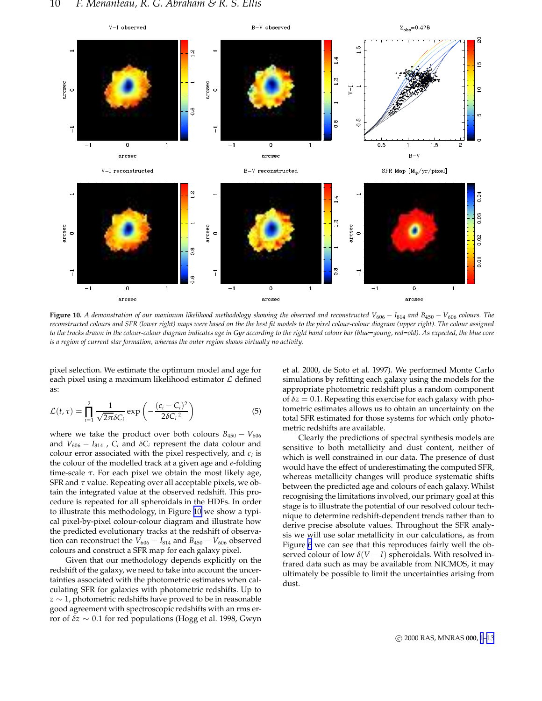![](_page_9_Figure_1.jpeg)

**Figure 10.** A demonstration of our maximum likelihood methodology showing the observed and reconstructed  $V_{606} - I_{814}$  and B<sub>450</sub> −  $V_{606}$  colours. The *reconstructed colours and SFR (lower right) maps were based on the the best fit models to the pixel colour-colour diagram (upper right). The colour assigned to the tracks drawn in the colour-colour diagram indicates age in Gyr according to the right hand colour bar (blue=young, red=old). As expected, the blue core is a region of current star formation, whereas the outer region shows virtually no activity.*

pixel selection. We estimate the optimum model and age for each pixel using a maximum likelihood estimator  $\mathcal L$  defined as:

$$
\mathcal{L}(t,\tau) = \prod_{i=1}^{2} \frac{1}{\sqrt{2\pi}\delta C_i} \exp\left(-\frac{(c_i - C_i)^2}{2\delta C_i^2}\right)
$$
(5)

where we take the product over both colours  $B_{450} - V_{606}$ and  $V_{606} - I_{814}$ ,  $C_i$  and  $\delta C_i$  represent the data colour and colour error associated with the pixel respectively, and *c<sup>i</sup>* is the colour of the modelled track at a given age and *e*-folding time-scale  $\tau$ . For each pixel we obtain the most likely age, SFR and  $\tau$  value. Repeating over all acceptable pixels, we obtain the integrated value at the observed redshift. This procedure is repeated for all spheroidals in the HDFs. In order to illustrate this methodology, in Figure 10 we show a typical pixel-by-pixel colour-colour diagram and illustrate how the predicted evolutionary tracks at the redshift of observation can reconstruct the  $V_{606} - I_{814}$  and  $B_{450} - V_{606}$  observed colours and construct a SFR map for each galaxy pixel.

Given that our methodology depends explicitly on the redshift of the galaxy, we need to take into account the uncertainties associated with the photometric estimates when calculating SFR for galaxies with photometric redshifts. Up to *z* ∼ 1, photometric redshifts have proved to be in reasonable good agreement with spectroscopic redshifts with an rms error of <sup>δ</sup>*z* ∼ 0.1 for red populations (Hogg et al. 1998, Gwyn

et al. 2000, de Soto et al. 1997). We performed Monte Carlo simulations by refitting each galaxy using the models for the appropriate photometric redshift plus a random component of  $\delta z = 0.1$ . Repeating this exercise for each galaxy with photometric estimates allows us to obtain an uncertainty on the total SFR estimated for those systems for which only photometric redshifts are available.

Clearly the predictions of spectral synthesis models are sensitive to both metallicity and dust content, neither of which is well constrained in our data. The presence of dust would have the effect of underestimating the computed SFR, whereas metallicity changes will produce systematic shifts between the predicted age and colours of each galaxy. Whilst recognising the limitations involved, our primary goal at this stage is to illustrate the potential of our resolved colour technique to determine redshift-dependent trends rather than to derive precise absolute values. Throughout the SFR analysis we will use solar metallicity in our calculations, as from Figure [6](#page-6-0) we can see that this reproduces fairly well the observed colour of low  $\delta(V - I)$  spheroidals. With resolved infrared data such as may be available from NICMOS, it may ultimately be possible to limit the uncertainties arising from dust.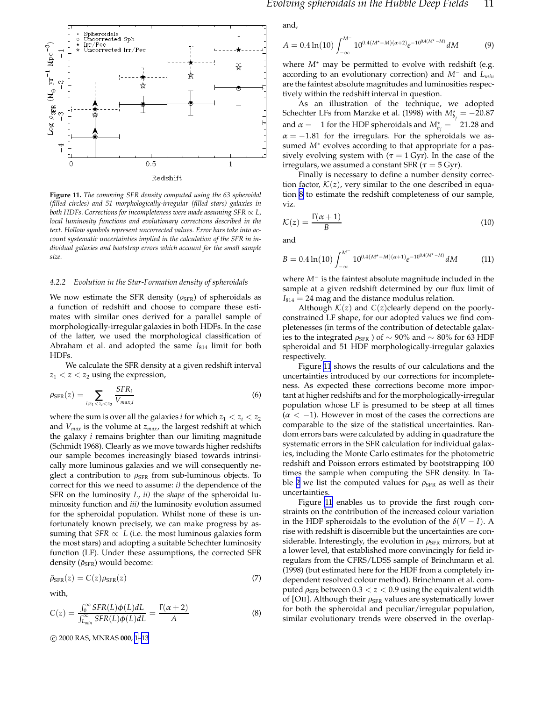![](_page_10_Figure_0.jpeg)

**Figure 11.** *The comoving SFR density computed using the 63 spheroidal (filled circles) and 51 morphologically-irregular (filled stars) galaxies in both HDFs. Corrections for incompleteness were made assuming SFR*  $\propto$  *L*, *local luminosity functions and evolutionary corrections described in the text. Hollow symbols represent uncorrected values. Error bars take into account systematic uncertainties implied in the calculation of the SFR in individual galaxies and bootstrap errors which account for the small sample size.*

#### *4.2.2 Evolution in the Star-Formation density of spheroidals*

We now estimate the SFR density ( $\rho_{\rm SFR}$ ) of spheroidals as a function of redshift and choose to compare these estimates with similar ones derived for a parallel sample of morphologically-irregular galaxies in both HDFs. In the case of the latter, we used the morphological classification of Abraham et al. and adopted the same *I*<sup>814</sup> limit for both HDFs.

We calculate the SFR density at a given redshift interval  $z_1 < z < z_2$  using the expression,

$$
\rho_{\text{SFR}}(z) = \sum_{i:z_1 < z_i < z_2} \frac{\text{SFR}_i}{V_{max,i}} \tag{6}
$$

where the sum is over all the galaxies *i* for which  $z_1 < z_i < z_2$ and *Vmax* is the volume at *zmax*, the largest redshift at which the galaxy *i* remains brighter than our limiting magnitude (Schmidt 1968). Clearly as we move towards higher redshifts our sample becomes increasingly biased towards intrinsically more luminous galaxies and we will consequently neglect a contribution to  $\rho_{\rm SFR}$  from sub-luminous objects. To correct for this we need to assume: *i)* the dependence of the SFR on the luminosity *L*, *ii)* the *shape* of the spheroidal luminosity function and *iii)* the luminosity evolution assumed for the spheroidal population. Whilst none of these is unfortunately known precisely, we can make progress by assuming that *SFR*  $\propto L$  (i.e. the most luminous galaxies form the most stars) and adopting a suitable Schechter luminosity function (LF). Under these assumptions, the corrected SFR density ( $\tilde{\rho}_{SFR}$ ) would become:

$$
\tilde{\rho}_{\text{SFR}}(z) = C(z)\rho_{\text{SFR}}(z) \tag{7}
$$

with,

$$
C(z) = \frac{\int_0^\infty SFR(L)\phi(L)dL}{\int_{L_{min}}^\infty SFR(L)\phi(L)dL} = \frac{\Gamma(\alpha+2)}{A}
$$
(8)

c 2000 RAS, MNRAS **000**, [1](#page-0-0)[–13](#page-12-0)

and,

$$
A = 0.4 \ln(10) \int_{-\infty}^{M^-} 10^{0.4(M^* - M)(\alpha + 2)} e^{-10^{0.4(M^* - M)}} dM \tag{9}
$$

where  $M^*$  may be permitted to evolve with redshift (e.g. according to an evolutionary correction) and *M*<sup>−</sup> and *Lmin* are the faintest absolute magnitudes and luminosities respectively within the redshift interval in question.

As an illustration of the technique, we adopted Schechter LFs from Marzke et al. (1998) with  $M_{b_j}^{\star} = -20.87$ and  $\alpha = -1$  for the HDF spheroidals and  $M_{b_j}^{\star} = -21.28$  and  $\alpha = -1.81$  for the irregulars. For the spheroidals we assumed *M*<sup>∗</sup> evolves according to that appropriate for a passively evolving system with ( $\tau = 1$  Gyr). In the case of the irregulars, we assumed a constant SFR ( $\tau = 5$  Gyr).

Finally is necessary to define a number density correction factor,  $K(z)$ , very similar to the one described in equation 8 to estimate the redshift completeness of our sample, viz.

$$
\mathcal{K}(z) = \frac{\Gamma(\alpha + 1)}{B} \tag{10}
$$

and

$$
B = 0.4 \ln(10) \int_{-\infty}^{M^-} 10^{0.4(M^* - M)(\alpha + 1)} e^{-10^{0.4(M^* - M)}} dM \tag{11}
$$

where *M*<sup>−</sup> is the faintest absolute magnitude included in the sample at a given redshift determined by our flux limit of  $I_{814} = 24$  mag and the distance modulus relation.

Although  $K(z)$  and  $C(z)$ clearly depend on the poorlyconstrained LF shape, for our adopted values we find completenesses (in terms of the contribution of detectable galaxies to the integrated  $\rho_{\rm SFR}$  ) of ~ 90% and ~ 80% for 63 HDF spheroidal and 51 HDF morphologically-irregular galaxies respectively.

Figure 11 shows the results of our calculations and the uncertainties introduced by our corrections for incompleteness. As expected these corrections become more important at higher redshifts and for the morphologically-irregular population whose LF is presumed to be steep at all times  $(\alpha < -1)$ . However in most of the cases the corrections are comparable to the size of the statistical uncertainties. Random errors bars were calculated by adding in quadrature the systematic errors in the SFR calculation for individual galaxies, including the Monte Carlo estimates for the photometric redshift and Poisson errors estimated by bootstrapping 100 times the sample when computing the SFR density. In Ta-ble [2](#page-12-0) we list the computed values for  $\rho_{\rm SFR}$  as well as their uncertainties.

Figure 11 enables us to provide the first rough constraints on the contribution of the increased colour variation in the HDF spheroidals to the evolution of the  $\delta(V-I)$ . A rise with redshift is discernible but the uncertainties are considerable. Interestingly, the evolution in  $\rho_{\rm SFR}$  mirrors, but at a lower level, that established more convincingly for field irregulars from the CFRS/LDSS sample of Brinchmann et al. (1998) (but estimated here for the HDF from a completely independent resolved colour method). Brinchmann et al. computed  $\rho_{\rm SFR}$  between  $0.3 < z < 0.9$  using the equivalent width of [OII]. Although their  $\rho_{\rm SFR}$  values are systematically lower for both the spheroidal and peculiar/irregular population, similar evolutionary trends were observed in the overlap-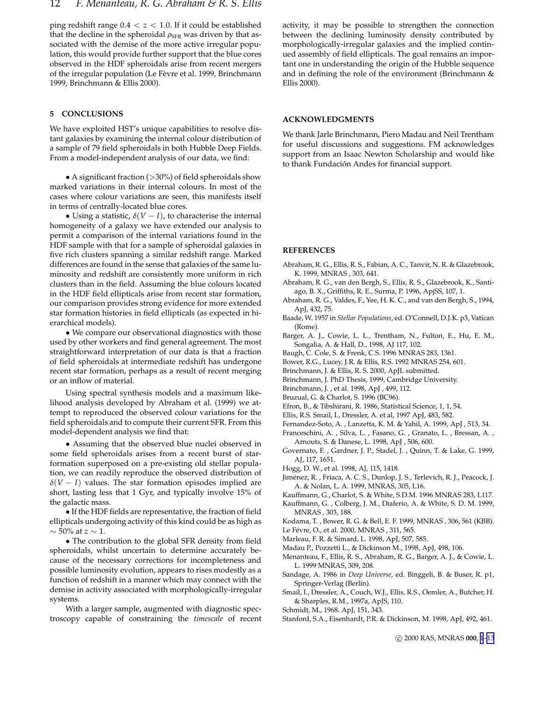<span id="page-11-0"></span>ping redshift range  $0.4 < z < 1.0$ . If it could be established that the decline in the spheroidal  $\rho_{\rm SFR}$  was driven by that associated with the demise of the more active irregular population, this would provide further support that the blue cores observed in the HDF spheroidals arise from recent mergers of the irregular population (Le Fèvre et al. 1999, Brinchmann 1999, Brinchmann & Ellis 2000).

## **5 CONCLUSIONS**

We have exploited HST's unique capabilities to resolve distant galaxies by examining the internal colour distribution of a sample of 79 field spheroidals in both Hubble Deep Fields. From a model-independent analysis of our data, we find:

• A significant fraction  $(>30%)$  of field spheroidals show marked variations in their internal colours. In most of the cases where colour variations are seen, this manifests itself in terms of centrally-located blue cores.

• Using a statistic,  $\delta(V-I)$ , to characterise the internal homogeneity of a galaxy we have extended our analysis to permit a comparison of the internal variations found in the HDF sample with that for a sample of spheroidal galaxies in five rich clusters spanning a similar redshift range. Marked differences are found in the sense that galaxies of the same luminosity and redshift are consistently more uniform in rich clusters than in the field. Assuming the blue colours located in the HDF field ellipticals arise from recent star formation, our comparison provides strong evidence for more extended star formation histories in field ellipticals (as expected in hierarchical models).

• We compare our observational diagnostics with those used by other workers and find general agreement. The most straightforward interpretation of our data is that a fraction of field spheroidals at intermediate redshift has undergone recent star formation, perhaps as a result of recent merging or an inflow of material.

Using spectral synthesis models and a maximum likelihood analysis developed by Abraham et al. (1999) we attempt to reproduced the observed colour variations for the field spheroidals and to compute their current SFR. From this model-dependent analysis we find that:

• Assuming that the observed blue nuclei observed in some field spheroidals arises from a recent burst of starformation superposed on a pre-existing old stellar population, we can readily reproduce the observed distribution of  $\delta(V-I)$  values. The star formation episodes implied are short, lasting less that 1 Gyr, and typically involve 15% of the galactic mass.

• If the HDF fields are representative, the fraction of field ellipticals undergoing activity of this kind could be as high as  $\sim$  50% at  $z\sim$  1.

• The contribution to the global SFR density from field spheroidals, whilst uncertain to determine accurately because of the necessary corrections for incompleteness and possible luminosity evolution, appears to rises modestly as a function of redshift in a manner which may connect with the demise in activity associated with morphologically-irregular systems.

With a larger sample, augmented with diagnostic spectroscopy capable of constraining the *timescale* of recent activity, it may be possible to strengthen the connection between the declining luminosity density contributed by morphologically-irregular galaxies and the implied continued assembly of field ellipticals. The goal remains an important one in understanding the origin of the Hubble sequence and in defining the role of the environment (Brinchmann & Ellis 2000).

## **ACKNOWLEDGMENTS**

We thank Jarle Brinchmann, Piero Madau and Neil Trentham for useful discussions and suggestions. FM acknowledges support from an Isaac Newton Scholarship and would like to thank Fundación Andes for financial support.

#### **REFERENCES**

- Abraham, R. G., Ellis, R. S., Fabian, A. C., Tanvir, N. R. & Glazebrook, K. 1999, MNRAS , 303, 641.
- Abraham, R. G., van den Bergh, S., Ellis, R. S., Glazebrook, K., Santiago, B. X., Griffiths, R. E., Surma, P. 1996, ApjSS, 107, 1.
- Abraham, R. G., Valdes, F., Yee, H. K. C., and van den Bergh, S., 1994, ApJ, 432, 75.
- Baade, W. 1957 in *Stellar Populations*, ed. O'Connell, D.J.K. p3, Vatican (Rome).
- Barger, A. J., Cowie, L. L., Trentham, N., Fulton, E., Hu, E. M., Songalia, A. & Hall, D., 1998, AJ 117, 102.
- Baugh, C. Cole, S. & Frenk, C.S. 1996 MNRAS 283, 1361.
- Bower, R.G., Lucey, J.R. & Ellis, R.S. 1992 MNRAS 254, 601.
- Brinchmann, J. & Ellis, R. S. 2000, ApJL submitted.
- Brinchmann, J. PhD Thesis, 1999, Cambridge University.
- Brinchmann, J. , et al. 1998, ApJ , 499, 112.
- Bruzual, G. & Charlot, S. 1996 (BC96).
- Efron, B., & Tibshirani, R. 1986, Statistical Science, 1, 1, 54.
- Ellis, R.S. Smail, I., Dressler, A. et al, 1997 ApJ, 483, 582.
- Fernandez-Soto, A. , Lanzetta, K. M. & Yahil, A. 1999, ApJ , 513, 34.
- Franceschini, A. , Silva, L. , Fasano, G. , Granato, L. , Bressan, A. , Arnouts, S. & Danese, L. 1998, ApJ , 506, 600.
- Governato, F. , Gardner, J. P., Stadel, J. , Quinn, T. & Lake, G. 1999, AJ, 117, 1651.
- Hogg, D. W., et al. 1998, AJ, 115, 1418.
- Jiménez, R. , Friaca, A. C. S., Dunlop, J. S., Terlevich, R. J., Peacock, J. A. & Nolan, L. A. 1999, MNRAS, 305, L16.
- Kauffmann, G., Charlot, S. & White, S.D.M. 1996 MNRAS 283, L117.
- Kauffmann, G. , Colberg, J. M., Diaferio, A. & White, S. D. M. 1999, MNRAS , 303, 188.
- Kodama, T. , Bower, R. G. & Bell, E. F. 1999, MNRAS , 306, 561 (KBB).
- Le Févre, O., et al. 2000, MNRAS, 311, 565.
- Marleau, F. R. & Simard, L. 1998, ApJ, 507, 585.
- Madau P., Pozzetti L., & Dickinson M., 1998, ApJ, 498, 106.
- Menanteau, F., Ellis, R. S., Abraham, R. G., Barger, A. J., & Cowie, L. L. 1999 MNRAS, 309, 208.
- Sandage, A. 1986 in *Deep Universe*, ed. Binggeli, B. & Buser, R. p1, Springer-Verlag (Berlin).
- Smail, I., Dressler, A., Couch, W.J., Ellis, R.S., Oemler, A., Butcher, H. & Sharples, R.M., 1997a, ApJS, 110.
- Schmidt, M., 1968. ApJ, 151, 343.
- Stanford, S.A., Eisenhardt, P.R. & Dickinson, M. 1998, ApJ, 492, 461.

c 2000 RAS, MNRAS **000**, [1](#page-0-0)[–13](#page-12-0)